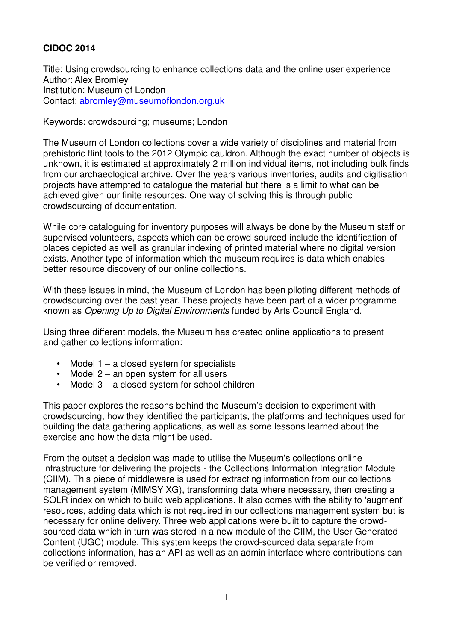# **CIDOC 2014**

Title: Using crowdsourcing to enhance collections data and the online user experience Author: Alex Bromley Institution: Museum of London Contact: abromley@museumoflondon.org.uk

Keywords: crowdsourcing; museums; London

The Museum of London collections cover a wide variety of disciplines and material from prehistoric flint tools to the 2012 Olympic cauldron. Although the exact number of objects is unknown, it is estimated at approximately 2 million individual items, not including bulk finds from our archaeological archive. Over the years various inventories, audits and digitisation projects have attempted to catalogue the material but there is a limit to what can be achieved given our finite resources. One way of solving this is through public crowdsourcing of documentation.

While core cataloguing for inventory purposes will always be done by the Museum staff or supervised volunteers, aspects which can be crowd-sourced include the identification of places depicted as well as granular indexing of printed material where no digital version exists. Another type of information which the museum requires is data which enables better resource discovery of our online collections.

With these issues in mind, the Museum of London has been piloting different methods of crowdsourcing over the past year. These projects have been part of a wider programme known as Opening Up to Digital Environments funded by Arts Council England.

Using three different models, the Museum has created online applications to present and gather collections information:

- Model 1 a closed system for specialists
- Model 2 an open system for all users
- Model 3 a closed system for school children

This paper explores the reasons behind the Museum's decision to experiment with crowdsourcing, how they identified the participants, the platforms and techniques used for building the data gathering applications, as well as some lessons learned about the exercise and how the data might be used.

From the outset a decision was made to utilise the Museum's collections online infrastructure for delivering the projects - the Collections Information Integration Module (CIIM). This piece of middleware is used for extracting information from our collections management system (MIMSY XG), transforming data where necessary, then creating a SOLR index on which to build web applications. It also comes with the ability to 'augment' resources, adding data which is not required in our collections management system but is necessary for online delivery. Three web applications were built to capture the crowdsourced data which in turn was stored in a new module of the CIIM, the User Generated Content (UGC) module. This system keeps the crowd-sourced data separate from collections information, has an API as well as an admin interface where contributions can be verified or removed.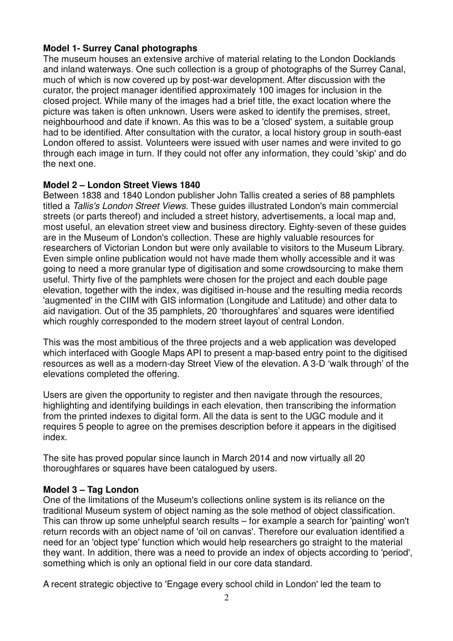### **Model 1- Surrey Canal photographs**

The museum houses an extensive archive of material relating to the London Docklands and inland waterways. One such collection is a group of photographs of the Surrey Canal, much of which is now covered up by post-war development. After discussion with the curator, the project manager identified approximately 100 images for inclusion in the closed project. While many of the images had a brief title, the exact location where the picture was taken is often unknown. Users were asked to identify the premises, street, neighbourhood and date if known. As this was to be a 'closed' system, a suitable group had to be identified. After consultation with the curator, a local history group in south-east London offered to assist. Volunteers were issued with user names and were invited to go through each image in turn. If they could not offer any information, they could 'skip' and do the next one.

### **Model 2 – London Street Views 1840**

Between 1838 and 1840 London publisher John Tallis created a series of 88 pamphlets titled a Tallis's London Street Views. These guides illustrated London's main commercial streets (or parts thereof) and included a street history, advertisements, a local map and, most useful, an elevation street view and business directory. Eighty-seven of these guides are in the Museum of London's collection. These are highly valuable resources for researchers of Victorian London but were only available to visitors to the Museum Library. Even simple online publication would not have made them wholly accessible and it was going to need a more granular type of digitisation and some crowdsourcing to make them useful. Thirty five of the pamphlets were chosen for the project and each double page elevation, together with the index, was digitised in-house and the resulting media records 'augmented' in the CIIM with GIS information (Longitude and Latitude) and other data to aid navigation. Out of the 35 pamphlets, 20 'thoroughfares' and squares were identified which roughly corresponded to the modern street layout of central London.

This was the most ambitious of the three projects and a web application was developed which interfaced with Google Maps API to present a map-based entry point to the digitised resources as well as a modern-day Street View of the elevation. A 3-D 'walk through' of the elevations completed the offering.

Users are given the opportunity to register and then navigate through the resources, highlighting and identifying buildings in each elevation, then transcribing the information from the printed indexes to digital form. All the data is sent to the UGC module and it requires 5 people to agree on the premises description before it appears in the digitised index.

The site has proved popular since launch in March 2014 and now virtually all 20 thoroughfares or squares have been catalogued by users.

### **Model 3 – Tag London**

One of the limitations of the Museum's collections online system is its reliance on the traditional Museum system of object naming as the sole method of object classification. This can throw up some unhelpful search results – for example a search for 'painting' won't return records with an object name of 'oil on canvas'. Therefore our evaluation identified a need for an 'object type' function which would help researchers go straight to the material they want. In addition, there was a need to provide an index of objects according to 'period', something which is only an optional field in our core data standard.

A recent strategic objective to 'Engage every school child in London' led the team to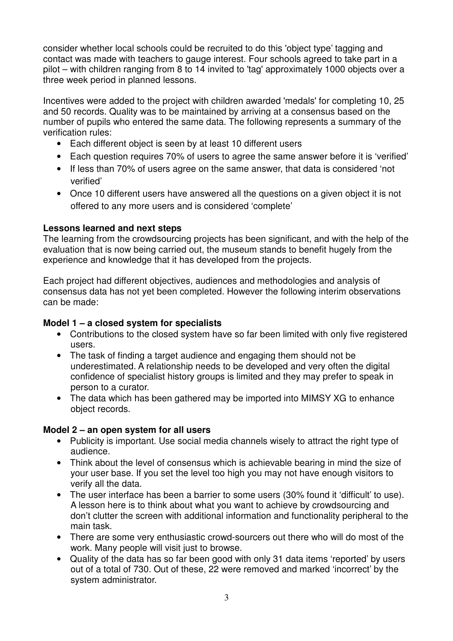consider whether local schools could be recruited to do this 'object type' tagging and contact was made with teachers to gauge interest. Four schools agreed to take part in a pilot – with children ranging from 8 to 14 invited to 'tag' approximately 1000 objects over a three week period in planned lessons.

Incentives were added to the project with children awarded 'medals' for completing 10, 25 and 50 records. Quality was to be maintained by arriving at a consensus based on the number of pupils who entered the same data. The following represents a summary of the verification rules:

- Each different object is seen by at least 10 different users
- Each question requires 70% of users to agree the same answer before it is 'verified'
- If less than 70% of users agree on the same answer, that data is considered 'not verified'
- Once 10 different users have answered all the questions on a given object it is not offered to any more users and is considered 'complete'

### **Lessons learned and next steps**

The learning from the crowdsourcing projects has been significant, and with the help of the evaluation that is now being carried out, the museum stands to benefit hugely from the experience and knowledge that it has developed from the projects.

Each project had different objectives, audiences and methodologies and analysis of consensus data has not yet been completed. However the following interim observations can be made:

### **Model 1 – a closed system for specialists**

- Contributions to the closed system have so far been limited with only five registered users.
- The task of finding a target audience and engaging them should not be underestimated. A relationship needs to be developed and very often the digital confidence of specialist history groups is limited and they may prefer to speak in person to a curator.
- The data which has been gathered may be imported into MIMSY XG to enhance object records.

### **Model 2 – an open system for all users**

- Publicity is important. Use social media channels wisely to attract the right type of audience.
- Think about the level of consensus which is achievable bearing in mind the size of your user base. If you set the level too high you may not have enough visitors to verify all the data.
- The user interface has been a barrier to some users (30% found it 'difficult' to use). A lesson here is to think about what you want to achieve by crowdsourcing and don't clutter the screen with additional information and functionality peripheral to the main task.
- There are some very enthusiastic crowd-sourcers out there who will do most of the work. Many people will visit just to browse.
- Quality of the data has so far been good with only 31 data items 'reported' by users out of a total of 730. Out of these, 22 were removed and marked 'incorrect' by the system administrator.